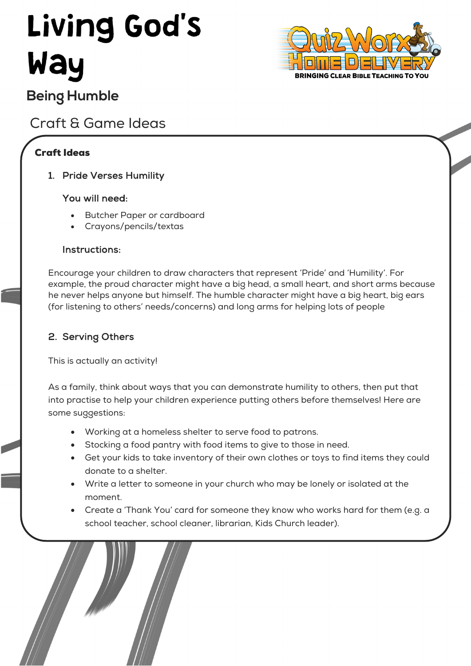# **Living God's** Way



# **Being Humble**

## Craft & Game Ideas

## Craft Ideas

1. Pride Verses Humility

### You will need:

- Butcher Paper or cardboard
- Crayons/pencils/textas

#### Instructions:

Encourage your children to draw characters that represent 'Pride' and 'Humility'. For example, the proud character might have a big head, a small heart, and short arms because he never helps anyone but himself. The humble character might have a big heart, big ears (for listening to others' needs/concerns) and long arms for helping lots of people

## 2. Serving Others

This is actually an activity!

As a family, think about ways that you can demonstrate humility to others, then put that into practise to help your children experience putting others before themselves! Here are some suggestions:

- Working at a homeless shelter to serve food to patrons.
- Stocking a food pantry with food items to give to those in need.
- Get your kids to take inventory of their own clothes or toys to find items they could donate to a shelter.
- Write a letter to someone in your church who may be lonely or isolated at the moment.
- Create a 'Thank You' card for someone they know who works hard for them (e.g. a school teacher, school cleaner, librarian, Kids Church leader).